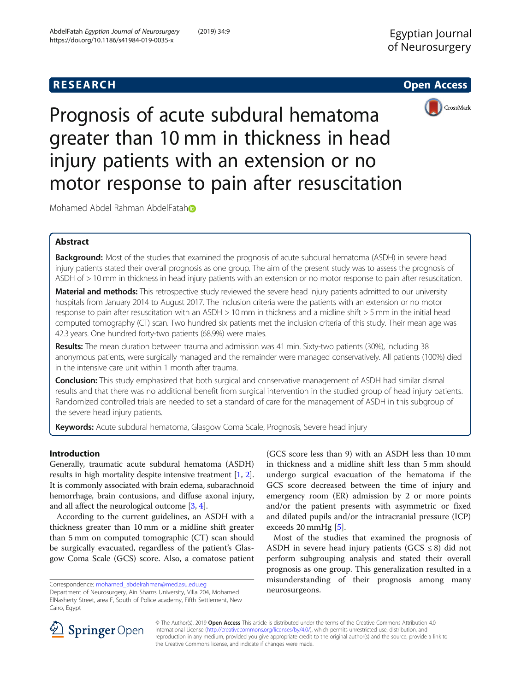# **RESEARCH CHEAR CHEAR CHEAR CHEAR CHEAR CHEAR CHEAR CHEAR CHEAR CHEAR CHEAR CHEAR CHEAR CHEAR CHEAR CHEAR CHEAR**



Prognosis of acute subdural hematoma greater than 10 mm in thickness in head injury patients with an extension or no motor response to pain after resuscitation

Mo[h](http://orcid.org/0000-0003-3432-0988)amed Abdel Rahman AbdelFatah

# Abstract

Background: Most of the studies that examined the prognosis of acute subdural hematoma (ASDH) in severe head injury patients stated their overall prognosis as one group. The aim of the present study was to assess the prognosis of ASDH of > 10 mm in thickness in head injury patients with an extension or no motor response to pain after resuscitation.

Material and methods: This retrospective study reviewed the severe head injury patients admitted to our university hospitals from January 2014 to August 2017. The inclusion criteria were the patients with an extension or no motor response to pain after resuscitation with an ASDH > 10 mm in thickness and a midline shift > 5 mm in the initial head computed tomography (CT) scan. Two hundred six patients met the inclusion criteria of this study. Their mean age was 42.3 years. One hundred forty-two patients (68.9%) were males.

Results: The mean duration between trauma and admission was 41 min. Sixty-two patients (30%), including 38 anonymous patients, were surgically managed and the remainder were managed conservatively. All patients (100%) died in the intensive care unit within 1 month after trauma.

Conclusion: This study emphasized that both surgical and conservative management of ASDH had similar dismal results and that there was no additional benefit from surgical intervention in the studied group of head injury patients. Randomized controlled trials are needed to set a standard of care for the management of ASDH in this subgroup of the severe head injury patients.

Keywords: Acute subdural hematoma, Glasgow Coma Scale, Prognosis, Severe head injury

# Introduction

Generally, traumatic acute subdural hematoma (ASDH) results in high mortality despite intensive treatment [[1,](#page-4-0) [2](#page-4-0)]. It is commonly associated with brain edema, subarachnoid hemorrhage, brain contusions, and diffuse axonal injury, and all affect the neurological outcome [\[3,](#page-4-0) [4](#page-4-0)].

According to the current guidelines, an ASDH with a thickness greater than 10 mm or a midline shift greater than 5 mm on computed tomographic (CT) scan should be surgically evacuated, regardless of the patient's Glasgow Coma Scale (GCS) score. Also, a comatose patient (GCS score less than 9) with an ASDH less than 10 mm in thickness and a midline shift less than 5 mm should undergo surgical evacuation of the hematoma if the GCS score decreased between the time of injury and emergency room (ER) admission by 2 or more points and/or the patient presents with asymmetric or fixed and dilated pupils and/or the intracranial pressure (ICP) exceeds 20 mmHg [\[5](#page-4-0)].

Most of the studies that examined the prognosis of ASDH in severe head injury patients ( $GCS \leq 8$ ) did not perform subgrouping analysis and stated their overall prognosis as one group. This generalization resulted in a misunderstanding of their prognosis among many neurosurgeons.



© The Author(s). 2019 Open Access This article is distributed under the terms of the Creative Commons Attribution 4.0 International License ([http://creativecommons.org/licenses/by/4.0/\)](http://creativecommons.org/licenses/by/4.0/), which permits unrestricted use, distribution, and reproduction in any medium, provided you give appropriate credit to the original author(s) and the source, provide a link to the Creative Commons license, and indicate if changes were made.

Correspondence: [mohamed\\_abdelrahman@med.asu.edu.eg](mailto:mohamed_abdelrahman@med.asu.edu.eg) Department of Neurosurgery, Ain Shams University, Villa 204, Mohamed ElNasherty Street, area F, South of Police academy, Fifth Settlement, New Cairo, Egypt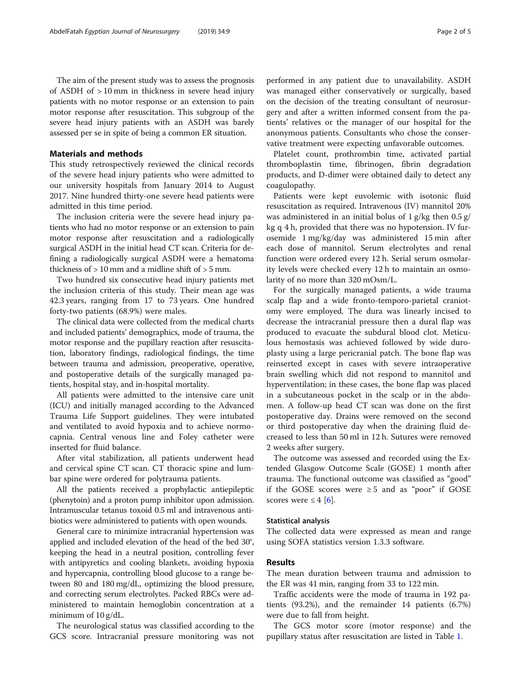The aim of the present study was to assess the prognosis of ASDH of > 10 mm in thickness in severe head injury patients with no motor response or an extension to pain motor response after resuscitation. This subgroup of the severe head injury patients with an ASDH was barely assessed per se in spite of being a common ER situation.

# Materials and methods

This study retrospectively reviewed the clinical records of the severe head injury patients who were admitted to our university hospitals from January 2014 to August 2017. Nine hundred thirty-one severe head patients were admitted in this time period.

The inclusion criteria were the severe head injury patients who had no motor response or an extension to pain motor response after resuscitation and a radiologically surgical ASDH in the initial head CT scan. Criteria for defining a radiologically surgical ASDH were a hematoma thickness of  $> 10$  mm and a midline shift of  $> 5$  mm.

Two hundred six consecutive head injury patients met the inclusion criteria of this study. Their mean age was 42.3 years, ranging from 17 to 73 years. One hundred forty-two patients (68.9%) were males.

The clinical data were collected from the medical charts and included patients' demographics, mode of trauma, the motor response and the pupillary reaction after resuscitation, laboratory findings, radiological findings, the time between trauma and admission, preoperative, operative, and postoperative details of the surgically managed patients, hospital stay, and in-hospital mortality.

All patients were admitted to the intensive care unit (ICU) and initially managed according to the Advanced Trauma Life Support guidelines. They were intubated and ventilated to avoid hypoxia and to achieve normocapnia. Central venous line and Foley catheter were inserted for fluid balance.

After vital stabilization, all patients underwent head and cervical spine CT scan. CT thoracic spine and lumbar spine were ordered for polytrauma patients.

All the patients received a prophylactic antiepileptic (phenytoin) and a proton pump inhibitor upon admission. Intramuscular tetanus toxoid 0.5 ml and intravenous antibiotics were administered to patients with open wounds.

General care to minimize intracranial hypertension was applied and included elevation of the head of the bed 30°, keeping the head in a neutral position, controlling fever with antipyretics and cooling blankets, avoiding hypoxia and hypercapnia, controlling blood glucose to a range between 80 and 180 mg/dL, optimizing the blood pressure, and correcting serum electrolytes. Packed RBCs were administered to maintain hemoglobin concentration at a minimum of 10 g/dL.

The neurological status was classified according to the GCS score. Intracranial pressure monitoring was not performed in any patient due to unavailability. ASDH was managed either conservatively or surgically, based on the decision of the treating consultant of neurosurgery and after a written informed consent from the patients' relatives or the manager of our hospital for the anonymous patients. Consultants who chose the conservative treatment were expecting unfavorable outcomes.

Platelet count, prothrombin time, activated partial thromboplastin time, fibrinogen, fibrin degradation products, and D-dimer were obtained daily to detect any coagulopathy.

Patients were kept euvolemic with isotonic fluid resuscitation as required. Intravenous (IV) mannitol 20% was administered in an initial bolus of 1 g/kg then 0.5 g/ kg q 4 h, provided that there was no hypotension. IV furosemide 1 mg/kg/day was administered 15 min after each dose of mannitol. Serum electrolytes and renal function were ordered every 12 h. Serial serum osmolarity levels were checked every 12 h to maintain an osmolarity of no more than 320 mOsm/L.

For the surgically managed patients, a wide trauma scalp flap and a wide fronto-temporo-parietal craniotomy were employed. The dura was linearly incised to decrease the intracranial pressure then a dural flap was produced to evacuate the subdural blood clot. Meticulous hemostasis was achieved followed by wide duroplasty using a large pericranial patch. The bone flap was reinserted except in cases with severe intraoperative brain swelling which did not respond to mannitol and hyperventilation; in these cases, the bone flap was placed in a subcutaneous pocket in the scalp or in the abdomen. A follow-up head CT scan was done on the first postoperative day. Drains were removed on the second or third postoperative day when the draining fluid decreased to less than 50 ml in 12 h. Sutures were removed 2 weeks after surgery.

The outcome was assessed and recorded using the Extended Glasgow Outcome Scale (GOSE) 1 month after trauma. The functional outcome was classified as "good" if the GOSE scores were ≥ 5 and as "poor" if GOSE scores were  $\leq 4$  [\[6](#page-4-0)].

# Statistical analysis

The collected data were expressed as mean and range using SOFA statistics version 1.3.3 software.

# Results

The mean duration between trauma and admission to the ER was 41 min, ranging from 33 to 122 min.

Traffic accidents were the mode of trauma in 192 patients (93.2%), and the remainder 14 patients (6.7%) were due to fall from height.

The GCS motor score (motor response) and the pupillary status after resuscitation are listed in Table [1](#page-2-0).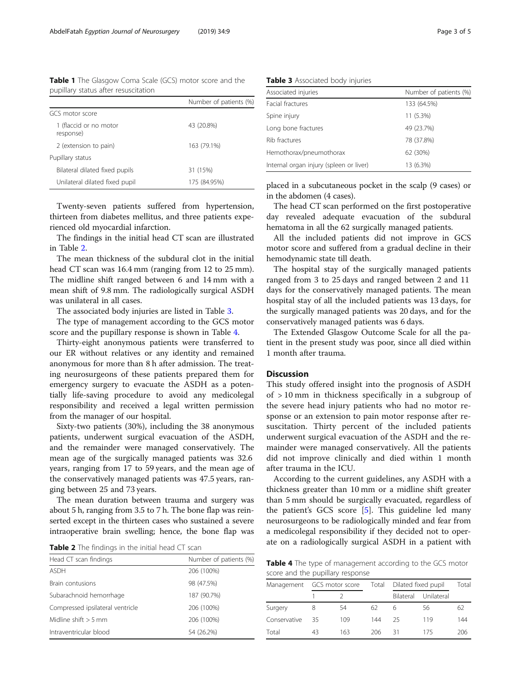<span id="page-2-0"></span>Table 1 The Glasgow Coma Scale (GCS) motor score and the pupillary status after resuscitation

|                                     | Number of patients (%) |
|-------------------------------------|------------------------|
| GCS motor score                     |                        |
| 1 (flaccid or no motor<br>response) | 43 (20.8%)             |
| 2 (extension to pain)               | 163 (79.1%)            |
| Pupillary status                    |                        |
| Bilateral dilated fixed pupils      | 31 (15%)               |
| Unilateral dilated fixed pupil      | 175 (84.95%)           |

Twenty-seven patients suffered from hypertension, thirteen from diabetes mellitus, and three patients experienced old myocardial infarction.

The findings in the initial head CT scan are illustrated in Table 2.

The mean thickness of the subdural clot in the initial head CT scan was 16.4 mm (ranging from 12 to 25 mm). The midline shift ranged between 6 and 14 mm with a mean shift of 9.8 mm. The radiologically surgical ASDH was unilateral in all cases.

The associated body injuries are listed in Table 3.

The type of management according to the GCS motor score and the pupillary response is shown in Table 4.

Thirty-eight anonymous patients were transferred to our ER without relatives or any identity and remained anonymous for more than 8 h after admission. The treating neurosurgeons of these patients prepared them for emergency surgery to evacuate the ASDH as a potentially life-saving procedure to avoid any medicolegal responsibility and received a legal written permission from the manager of our hospital.

Sixty-two patients (30%), including the 38 anonymous patients, underwent surgical evacuation of the ASDH, and the remainder were managed conservatively. The mean age of the surgically managed patients was 32.6 years, ranging from 17 to 59 years, and the mean age of the conservatively managed patients was 47.5 years, ranging between 25 and 73 years.

The mean duration between trauma and surgery was about 5 h, ranging from 3.5 to 7 h. The bone flap was reinserted except in the thirteen cases who sustained a severe intraoperative brain swelling; hence, the bone flap was

Table 2 The findings in the initial head CT scan

| Head CT scan findings<br>Number of patients (%) |             |  |  |
|-------------------------------------------------|-------------|--|--|
| <b>ASDH</b>                                     | 206 (100%)  |  |  |
| Brain contusions                                | 98 (47.5%)  |  |  |
| Subarachnoid hemorrhage                         | 187 (90.7%) |  |  |
| Compressed ipsilateral ventricle                | 206 (100%)  |  |  |
| Midline shift $> 5$ mm                          | 206 (100%)  |  |  |
| Intraventricular blood                          | 54 (26.2%)  |  |  |

Table 3 Associated body injuries

| Associated injuries                     | Number of patients (%) |  |  |
|-----------------------------------------|------------------------|--|--|
| Facial fractures                        | 133 (64.5%)            |  |  |
| Spine injury                            | $11(5.3\%)$            |  |  |
| Long bone fractures                     | 49 (23.7%)             |  |  |
| Rib fractures                           | 78 (37.8%)             |  |  |
| Hemothorax/pneumothorax                 | 62 (30%)               |  |  |
| Internal organ injury (spleen or liver) | 13 (6.3%)              |  |  |

placed in a subcutaneous pocket in the scalp (9 cases) or in the abdomen (4 cases).

The head CT scan performed on the first postoperative day revealed adequate evacuation of the subdural hematoma in all the 62 surgically managed patients.

All the included patients did not improve in GCS motor score and suffered from a gradual decline in their hemodynamic state till death.

The hospital stay of the surgically managed patients ranged from 3 to 25 days and ranged between 2 and 11 days for the conservatively managed patients. The mean hospital stay of all the included patients was 13 days, for the surgically managed patients was 20 days, and for the conservatively managed patients was 6 days.

The Extended Glasgow Outcome Scale for all the patient in the present study was poor, since all died within 1 month after trauma.

# **Discussion**

This study offered insight into the prognosis of ASDH of > 10 mm in thickness specifically in a subgroup of the severe head injury patients who had no motor response or an extension to pain motor response after resuscitation. Thirty percent of the included patients underwent surgical evacuation of the ASDH and the remainder were managed conservatively. All the patients did not improve clinically and died within 1 month after trauma in the ICU.

According to the current guidelines, any ASDH with a thickness greater than 10 mm or a midline shift greater than 5 mm should be surgically evacuated, regardless of the patient's GCS score [[5\]](#page-4-0). This guideline led many neurosurgeons to be radiologically minded and fear from a medicolegal responsibility if they decided not to operate on a radiologically surgical ASDH in a patient with

Table 4 The type of management according to the GCS motor score and the pupillary response

| score aria the pupiliary response |                 |     |       |                     |            |       |  |  |  |
|-----------------------------------|-----------------|-----|-------|---------------------|------------|-------|--|--|--|
| Management                        | GCS motor score |     | Total | Dilated fixed pupil |            | Total |  |  |  |
|                                   |                 |     |       | Bilateral           | Unilateral |       |  |  |  |
| Surgery                           |                 | 54  | 62    | 6                   | 56         | 62    |  |  |  |
| Conservative                      | 35              | 109 | 144   | 25                  | 119        | 144   |  |  |  |
| Total                             | 43              | 163 | 206   | 31                  | 175        | 206   |  |  |  |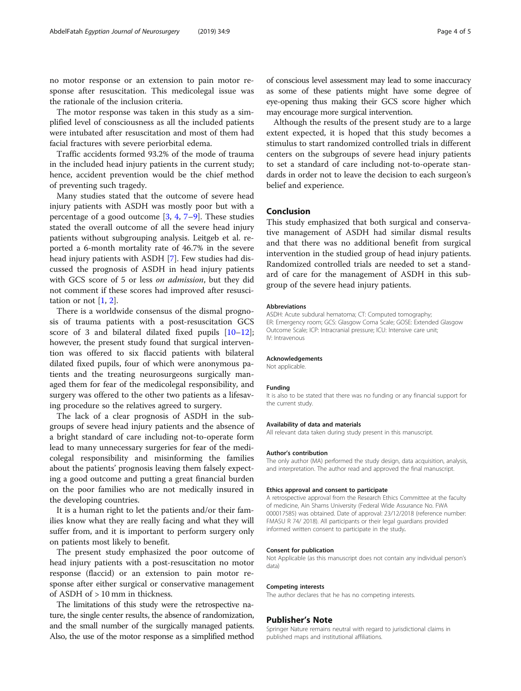no motor response or an extension to pain motor response after resuscitation. This medicolegal issue was the rationale of the inclusion criteria.

The motor response was taken in this study as a simplified level of consciousness as all the included patients were intubated after resuscitation and most of them had facial fractures with severe periorbital edema.

Traffic accidents formed 93.2% of the mode of trauma in the included head injury patients in the current study; hence, accident prevention would be the chief method of preventing such tragedy.

Many studies stated that the outcome of severe head injury patients with ASDH was mostly poor but with a percentage of a good outcome  $[3, 4, 7-9]$  $[3, 4, 7-9]$  $[3, 4, 7-9]$  $[3, 4, 7-9]$  $[3, 4, 7-9]$  $[3, 4, 7-9]$  $[3, 4, 7-9]$ . These studies stated the overall outcome of all the severe head injury patients without subgrouping analysis. Leitgeb et al. reported a 6-month mortality rate of 46.7% in the severe head injury patients with ASDH [\[7](#page-4-0)]. Few studies had discussed the prognosis of ASDH in head injury patients with GCS score of 5 or less on admission, but they did not comment if these scores had improved after resuscitation or not  $[1, 2]$  $[1, 2]$  $[1, 2]$ .

There is a worldwide consensus of the dismal prognosis of trauma patients with a post-resuscitation GCS score of 3 and bilateral dilated fixed pupils  $[10-12]$  $[10-12]$  $[10-12]$  $[10-12]$  $[10-12]$ ; however, the present study found that surgical intervention was offered to six flaccid patients with bilateral dilated fixed pupils, four of which were anonymous patients and the treating neurosurgeons surgically managed them for fear of the medicolegal responsibility, and surgery was offered to the other two patients as a lifesaving procedure so the relatives agreed to surgery.

The lack of a clear prognosis of ASDH in the subgroups of severe head injury patients and the absence of a bright standard of care including not-to-operate form lead to many unnecessary surgeries for fear of the medicolegal responsibility and misinforming the families about the patients' prognosis leaving them falsely expecting a good outcome and putting a great financial burden on the poor families who are not medically insured in the developing countries.

It is a human right to let the patients and/or their families know what they are really facing and what they will suffer from, and it is important to perform surgery only on patients most likely to benefit.

The present study emphasized the poor outcome of head injury patients with a post-resuscitation no motor response (flaccid) or an extension to pain motor response after either surgical or conservative management of ASDH of > 10 mm in thickness.

The limitations of this study were the retrospective nature, the single center results, the absence of randomization, and the small number of the surgically managed patients. Also, the use of the motor response as a simplified method of conscious level assessment may lead to some inaccuracy as some of these patients might have some degree of eye-opening thus making their GCS score higher which may encourage more surgical intervention.

Although the results of the present study are to a large extent expected, it is hoped that this study becomes a stimulus to start randomized controlled trials in different centers on the subgroups of severe head injury patients to set a standard of care including not-to-operate standards in order not to leave the decision to each surgeon's belief and experience.

## Conclusion

This study emphasized that both surgical and conservative management of ASDH had similar dismal results and that there was no additional benefit from surgical intervention in the studied group of head injury patients. Randomized controlled trials are needed to set a standard of care for the management of ASDH in this subgroup of the severe head injury patients.

### Abbreviations

ASDH: Acute subdural hematoma; CT: Computed tomography; ER: Emergency room; GCS: Glasgow Coma Scale; GOSE: Extended Glasgow Outcome Scale; ICP: Intracranial pressure; ICU: Intensive care unit; IV: Intravenous

#### Acknowledgements

Not applicable.

#### Funding

It is also to be stated that there was no funding or any financial support for the current study.

### Availability of data and materials

All relevant data taken during study present in this manuscript.

### Author's contribution

The only author (MA) performed the study design, data acquisition, analysis, and interpretation. The author read and approved the final manuscript.

### Ethics approval and consent to participate

A retrospective approval from the Research Ethics Committee at the faculty of medicine, Ain Shams University (Federal Wide Assurance No. FWA 000017585) was obtained. Date of approval: 23/12/2018 (reference number: FMASU R 74/ 2018). All participants or their legal guardians provided informed written consent to participate in the study.

#### Consent for publication

Not Applicable (as this manuscript does not contain any individual person's data)

#### Competing interests

The author declares that he has no competing interests.

## Publisher's Note

Springer Nature remains neutral with regard to jurisdictional claims in published maps and institutional affiliations.